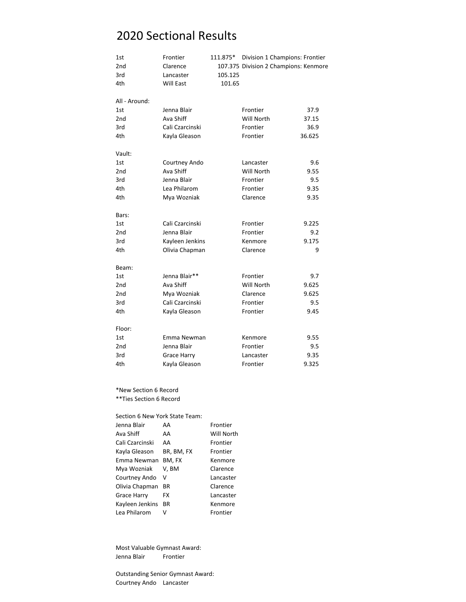# 2020 Sectional Results

| 1st             | Frontier        | 111.875* | Division 1 Champions: Frontier        |        |
|-----------------|-----------------|----------|---------------------------------------|--------|
| 2 <sub>nd</sub> | Clarence        |          | 107.375 Division 2 Champions: Kenmore |        |
| 3rd             | Lancaster       | 105.125  |                                       |        |
| 4th             | Will East       | 101.65   |                                       |        |
| All - Around:   |                 |          |                                       |        |
| 1st             | Jenna Blair     |          | Frontier                              | 37.9   |
| 2 <sub>nd</sub> | Ava Shiff       |          | Will North                            | 37.15  |
| 3rd             | Cali Czarcinski |          | Frontier                              | 36.9   |
| 4th             | Kayla Gleason   |          | Frontier                              | 36.625 |
| Vault:          |                 |          |                                       |        |
| 1st             | Courtney Ando   |          | Lancaster                             | 9.6    |
| 2nd             | Ava Shiff       |          | Will North                            | 9.55   |
| 3rd             | Jenna Blair     |          | Frontier                              | 9.5    |
| 4th             | Lea Philarom    |          | Frontier                              | 9.35   |
| 4th             | Mya Wozniak     |          | Clarence                              | 9.35   |
| Bars:           |                 |          |                                       |        |
| 1st             | Cali Czarcinski |          | Frontier                              | 9.225  |
| 2 <sub>nd</sub> | Jenna Blair     |          | Frontier                              | 9.2    |
| 3rd             | Kayleen Jenkins |          | Kenmore                               | 9.175  |
| 4th             | Olivia Chapman  |          | Clarence                              | 9      |
| Beam:           |                 |          |                                       |        |
| 1st             | Jenna Blair**   |          | Frontier                              | 9.7    |
| 2nd             | Ava Shiff       |          | Will North                            | 9.625  |
| 2nd             | Mya Wozniak     |          | Clarence                              | 9.625  |
| 3rd             | Cali Czarcinski |          | Frontier                              | 9.5    |
| 4th             | Kayla Gleason   |          | Frontier                              | 9.45   |
| Floor:          |                 |          |                                       |        |
| 1st             | Emma Newman     |          | Kenmore                               | 9.55   |
| 2nd             | Jenna Blair     |          | Frontier                              | 9.5    |
| 3rd             | Grace Harry     |          | Lancaster                             | 9.35   |
| 4th             | Kayla Gleason   |          | Frontier                              | 9.325  |

#### \*New Section 6 Record \*\*Ties Section 6 Record

#### Section 6 New York State Team:

| Jenna Blair        | AA         | <b>Frontier</b> |
|--------------------|------------|-----------------|
| Ava Shiff          | AA         | Will North      |
| Cali Czarcinski    | AA         | Frontier        |
| Kayla Gleason      | BR, BM, FX | <b>Frontier</b> |
| Emma Newman        | BM, FX     | Kenmore         |
| Mya Wozniak        | V, BM      | Clarence        |
| Courtney Ando      | v          | Lancaster       |
| Olivia Chapman     | <b>BR</b>  | Clarence        |
| <b>Grace Harry</b> | FX         | Lancaster       |
| Kayleen Jenkins    | <b>BR</b>  | Kenmore         |
| Lea Philarom       |            | Frontier        |

Most Valuable Gymnast Award: Jenna Blair Frontier

Outstanding Senior Gymnast Award: Courtney Ando Lancaster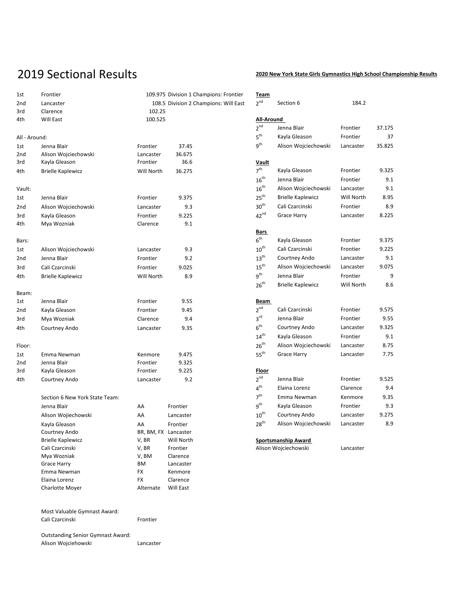### 2019 Sectional Results **2020 New York State Girls Gymnastics High School Championship Results**

| 1st             | Frontier                                                        |                                       | 109.975 Division 1 Champions: Frontier | Team                |                            |            |        |
|-----------------|-----------------------------------------------------------------|---------------------------------------|----------------------------------------|---------------------|----------------------------|------------|--------|
| 2nd             | Lancaster                                                       | 108.5 Division 2 Champions: Will East |                                        | 2 <sup>nd</sup>     | Section 6                  | 184.2      |        |
| 3rd             | Clarence                                                        | 102.25                                |                                        |                     |                            |            |        |
| 4th             | Will East                                                       | 100.525                               |                                        | All-Around          |                            |            |        |
|                 |                                                                 |                                       |                                        | 2 <sup>nd</sup>     | Jenna Blair                | Frontier   | 37.175 |
| All - Around:   |                                                                 |                                       |                                        | $5^{\text{th}}$     | Kayla Gleason              | Frontier   | 37     |
| 1st             | Jenna Blair                                                     | Frontier                              | 37.45                                  | 9 <sup>th</sup>     | Alison Wojciechowski       | Lancaster  | 35.825 |
| 2nd             | Alison Wojciechowski                                            | Lancaster                             | 36.675                                 |                     |                            |            |        |
| 3rd             | Kayla Gleason                                                   | Frontier                              | 36.6                                   | <u>Vault</u>        |                            |            |        |
| 4th             | <b>Brielle Kaplewicz</b>                                        | Will North                            | 36.275                                 | 7 <sup>th</sup>     | Kayla Gleason              | Frontier   | 9.325  |
|                 |                                                                 |                                       |                                        | $16^{th}$           | Jenna Blair                | Frontier   | 9.1    |
| Vault:          |                                                                 |                                       |                                        | $16^{th}$           | Alison Wojciechowski       | Lancaster  | 9.1    |
| 1st             | Jenna Blair                                                     | Frontier                              | 9.375                                  | 25 <sup>th</sup>    | <b>Brielle Kaplewicz</b>   | Will North | 8.95   |
| 2 <sub>nd</sub> | Alison Wojciechowski                                            | Lancaster                             | 9.3                                    | 30 <sup>th</sup>    | Cali Czarcinski            | Frontier   | 8.9    |
| 3rd             | Kayla Gleason                                                   | Frontier                              | 9.225                                  | $42^{nd}$           | <b>Grace Harry</b>         | Lancaster  | 8.225  |
| 4th             | Mya Wozniak                                                     | Clarence                              | 9.1                                    |                     |                            |            |        |
|                 |                                                                 |                                       |                                        | Bars                |                            |            |        |
| Bars:           |                                                                 |                                       |                                        | $6^{\text{th}}$     | Kayla Gleason              | Frontier   | 9.375  |
| 1st             | Alison Wojciechowski                                            | Lancaster                             | 9.3                                    | ${\bf 10}^{\sf th}$ | Cali Czarcinski            | Frontier   | 9.225  |
| 2nd             | Jenna Blair                                                     | Frontier                              | 9.2                                    | $13^{th}$           | Courtney Ando              | Lancaster  | 9.1    |
| 3rd             | Cali Czarcinski                                                 | Frontier                              | 9.025                                  | $15^{\text{th}}$    | Alison Wojciechowski       | Lancaster  | 9.075  |
| 4th             | <b>Brielle Kaplewicz</b>                                        | Will North                            | 8.9                                    | 9 <sup>th</sup>     | Jenna Blair                | Frontier   | 9      |
|                 |                                                                 |                                       |                                        | 26 <sup>th</sup>    | <b>Brielle Kaplewicz</b>   | Will North | 8.6    |
| Beam:           |                                                                 |                                       |                                        |                     |                            |            |        |
| 1st             | Jenna Blair                                                     | Frontier                              | 9.55                                   | Beam                |                            |            |        |
| 2nd             | Kayla Gleason                                                   | Frontier                              | 9.45                                   | 2 <sup>nd</sup>     | Cali Czarcinski            | Frontier   | 9.575  |
| 3rd             | Mya Wozniak                                                     | Clarence                              | 9.4                                    | $3^{\text{rd}}$     | Jenna Blair                | Frontier   | 9.55   |
| 4th             | Courtney Ando                                                   | Lancaster                             | 9.35                                   | $6^{\rm th}$        | Courtney Ando              | Lancaster  | 9.325  |
|                 |                                                                 |                                       |                                        | $14^{th}$           | Kayla Gleason              | Frontier   | 9.1    |
| Floor:          |                                                                 |                                       |                                        | $26^{th}$           | Alison Wojciechowski       | Lancaster  | 8.75   |
| 1st             | Emma Newman                                                     | Kenmore                               | 9.475                                  | $55^{th}$           | Grace Harry                | Lancaster  | 7.75   |
| 2 <sub>nd</sub> | Jenna Blair                                                     | Frontier                              | 9.325                                  |                     |                            |            |        |
| 3rd             | Kayla Gleason                                                   | Frontier                              | 9.225                                  | <b>Floor</b>        |                            |            |        |
| 4th             | Courtney Ando                                                   | Lancaster                             | 9.2                                    | $2^{nd}$            | Jenna Blair                | Frontier   | 9.525  |
|                 |                                                                 |                                       |                                        | $4^{\text{th}}$     | Elaina Lorenz              | Clarence   | 9.4    |
|                 | Section 6 New York State Team:                                  |                                       |                                        | 7 <sup>th</sup>     | Emma Newman                | Kenmore    | 9.35   |
|                 | Jenna Blair                                                     | AA                                    | Frontier                               | 9 <sup>th</sup>     | Kayla Gleason              | Frontier   | 9.3    |
|                 | Alison Wojiechowski                                             | AA                                    | Lancaster                              | $10^{th}$           | Courtney Ando              | Lancaster  | 9.275  |
|                 | Kayla Gleason                                                   | AA                                    | Frontier                               | $28^{th}$           | Alison Wojciechowski       | Lancaster  | 8.9    |
|                 | Courtney Ando                                                   | BR, BM, FX Lancaster                  |                                        |                     |                            |            |        |
|                 | <b>Brielle Kaplewicz</b>                                        | V, BR                                 | Will North                             |                     | <b>Sportsmanship Award</b> |            |        |
|                 | Cali Czarcinski                                                 | V, BR                                 | Frontier                               |                     | Alison Wojciechowski       | Lancaster  |        |
|                 | Mya Wozniak                                                     | V, BM                                 | Clarence                               |                     |                            |            |        |
|                 | Grace Harry                                                     | ΒM                                    | Lancaster                              |                     |                            |            |        |
|                 | Emma Newman                                                     | <b>FX</b>                             | Kenmore                                |                     |                            |            |        |
|                 | Elaina Lorenz                                                   | <b>FX</b>                             | Clarence                               |                     |                            |            |        |
|                 | Charlotte Moyer                                                 | Alternate                             | Will East                              |                     |                            |            |        |
|                 | Most Valuable Gymnast Award:                                    |                                       |                                        |                     |                            |            |        |
|                 | Cali Czarcinski                                                 | Frontier                              |                                        |                     |                            |            |        |
|                 | <b>Outstanding Senior Gymnast Award:</b><br>Alison Wojciehowski | Lancaster                             |                                        |                     |                            |            |        |
|                 |                                                                 |                                       |                                        |                     |                            |            |        |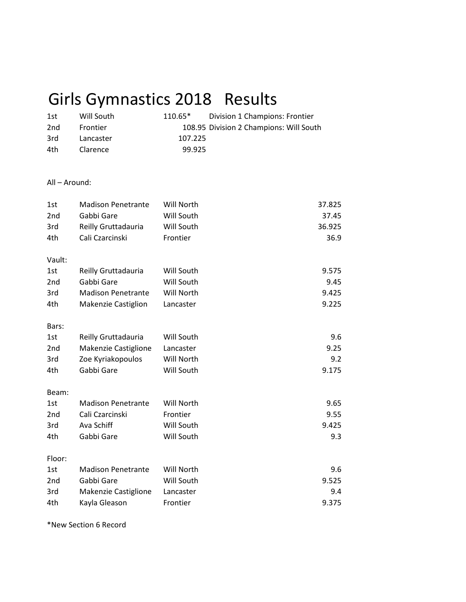# Girls Gymnastics 2018 Results

| 1st | Will South | $110.65*$ | Division 1 Champions: Frontier          |
|-----|------------|-----------|-----------------------------------------|
| 2nd | Frontier   |           | 108.95 Division 2 Champions: Will South |
| 3rd | Lancaster  | 107.225   |                                         |
| 4th | Clarence   | 99.925    |                                         |

#### All – Around:

| 1st<br>2 <sub>nd</sub><br>3rd<br>4th | <b>Madison Penetrante</b><br>Gabbi Gare<br>Reilly Gruttadauria<br>Cali Czarcinski | Will North<br>Will South<br>Will South<br>Frontier | 37.825<br>37.45<br>36.925<br>36.9 |
|--------------------------------------|-----------------------------------------------------------------------------------|----------------------------------------------------|-----------------------------------|
| Vault:                               |                                                                                   |                                                    |                                   |
| 1st                                  | Reilly Gruttadauria                                                               | Will South                                         | 9.575                             |
| 2 <sub>nd</sub>                      | Gabbi Gare                                                                        | Will South                                         | 9.45                              |
| 3rd                                  | <b>Madison Penetrante</b>                                                         | Will North                                         | 9.425                             |
| 4th                                  | <b>Makenzie Castiglion</b>                                                        | Lancaster                                          | 9.225                             |
| Bars:                                |                                                                                   |                                                    |                                   |
| 1st                                  | Reilly Gruttadauria                                                               | Will South                                         | 9.6                               |
| 2 <sub>nd</sub>                      | Makenzie Castiglione                                                              | Lancaster                                          | 9.25                              |
| 3rd                                  | Zoe Kyriakopoulos                                                                 | Will North                                         | 9.2                               |
| 4th                                  | Gabbi Gare                                                                        | Will South                                         | 9.175                             |
| Beam:                                |                                                                                   |                                                    |                                   |
| 1st                                  | <b>Madison Penetrante</b>                                                         | Will North                                         | 9.65                              |
| 2 <sub>nd</sub>                      | Cali Czarcinski                                                                   | Frontier                                           | 9.55                              |
| 3rd                                  | Ava Schiff                                                                        | Will South                                         | 9.425                             |
| 4th                                  | Gabbi Gare                                                                        | Will South                                         | 9.3                               |
| Floor:                               |                                                                                   |                                                    |                                   |
| 1st                                  | <b>Madison Penetrante</b>                                                         | Will North                                         | 9.6                               |
| 2 <sub>nd</sub>                      | Gabbi Gare                                                                        | Will South                                         | 9.525                             |
| 3rd                                  | Makenzie Castiglione                                                              | Lancaster                                          | 9.4                               |
| 4th                                  | Kayla Gleason                                                                     | Frontier                                           | 9.375                             |

\*New Section 6 Record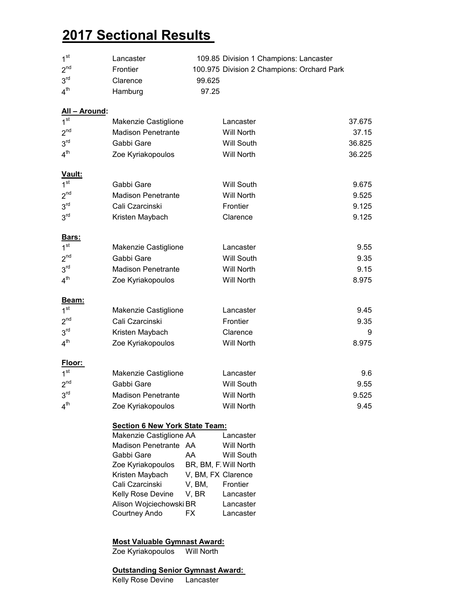# **2017 Sectional Results**

| 1 <sup>st</sup> | Lancaster | 109.85 Division 1 Champions: Lancaster     |
|-----------------|-----------|--------------------------------------------|
| 2 <sup>nd</sup> | Frontier  | 100.975 Division 2 Champions: Orchard Park |
| 3 <sup>rd</sup> | Clarence  | 99.625                                     |
| 4 <sup>th</sup> | Hamburg   | 97.25                                      |

#### **All – Around:**

| 1 <sup>st</sup>           | Makenzie Castiglione                  |                    | Lancaster             | 37.675 |
|---------------------------|---------------------------------------|--------------------|-----------------------|--------|
| 2 <sup>nd</sup>           | <b>Madison Penetrante</b>             |                    | <b>Will North</b>     | 37.15  |
| 3 <sup>rd</sup>           | Gabbi Gare                            |                    | <b>Will South</b>     | 36.825 |
| 4 <sup>th</sup>           | Zoe Kyriakopoulos                     |                    | <b>Will North</b>     | 36.225 |
|                           |                                       |                    |                       |        |
| Vault:<br>1 <sup>st</sup> | Gabbi Gare                            |                    | <b>Will South</b>     | 9.675  |
| 2 <sup>nd</sup>           | <b>Madison Penetrante</b>             |                    | <b>Will North</b>     | 9.525  |
| 3 <sup>rd</sup>           | Cali Czarcinski                       |                    | Frontier              | 9.125  |
| 3 <sup>rd</sup>           |                                       |                    |                       |        |
|                           | Kristen Maybach                       |                    | Clarence              | 9.125  |
| Bars:                     |                                       |                    |                       |        |
| 1 <sup>st</sup>           | Makenzie Castiglione                  |                    | Lancaster             | 9.55   |
| 2 <sup>nd</sup>           | Gabbi Gare                            |                    | <b>Will South</b>     | 9.35   |
| 3 <sup>rd</sup>           | <b>Madison Penetrante</b>             |                    | <b>Will North</b>     | 9.15   |
| 4 <sup>th</sup>           | Zoe Kyriakopoulos                     |                    | <b>Will North</b>     | 8.975  |
| <b>Beam:</b>              |                                       |                    |                       |        |
| 1 <sup>st</sup>           | Makenzie Castiglione                  |                    | Lancaster             | 9.45   |
| 2 <sup>nd</sup>           | Cali Czarcinski                       |                    | Frontier              | 9.35   |
| 3 <sup>rd</sup>           | Kristen Maybach                       |                    | Clarence              | 9      |
| 4 <sup>th</sup>           | Zoe Kyriakopoulos                     |                    | <b>Will North</b>     | 8.975  |
|                           |                                       |                    |                       |        |
| Floor:<br>1 <sup>st</sup> | Makenzie Castiglione                  |                    | Lancaster             | 9.6    |
| 2 <sup>nd</sup>           | Gabbi Gare                            |                    | <b>Will South</b>     | 9.55   |
| 3 <sup>rd</sup>           | <b>Madison Penetrante</b>             |                    | Will North            | 9.525  |
| 4 <sup>th</sup>           | Zoe Kyriakopoulos                     |                    | <b>Will North</b>     | 9.45   |
|                           |                                       |                    |                       |        |
|                           | <b>Section 6 New York State Team:</b> |                    |                       |        |
|                           | Makenzie Castiglione AA               |                    | Lancaster             |        |
|                           | Madison Penetrante AA                 |                    | <b>Will North</b>     |        |
|                           | Gabbi Gare                            | AA                 | <b>Will South</b>     |        |
|                           | Zoe Kyriakopoulos                     |                    | BR, BM, F. Will North |        |
|                           | Kristen Maybach                       | V, BM, FX Clarence |                       |        |
|                           | Cali Czarcinski                       | V, BM,             | Frontier              |        |
|                           | Kelly Rose Devine                     | V, BR              | Lancaster             |        |

# **Most Valuable Gymnast Award:**

Zoe Kyriakopoulos

#### **Outstanding Senior Gymnast Award:**

Alison Wojciechowski BR Lancaster Courtney Ando FX Lancaster

Kelly Rose Devine Lancaster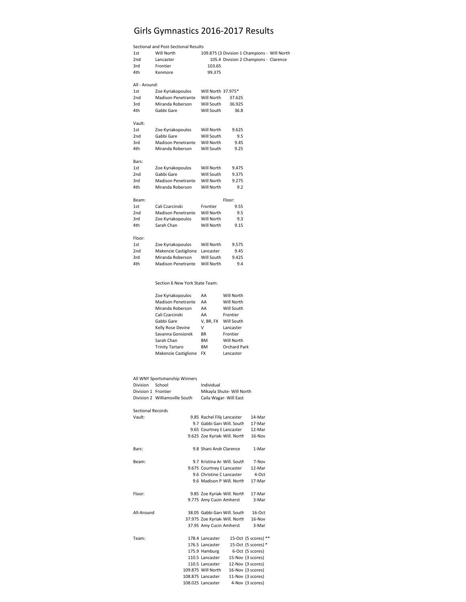### Girls Gymnastics 2016-2017 Results

|                 | Sectional and Post-Sectional Results |                    |        |                                              |
|-----------------|--------------------------------------|--------------------|--------|----------------------------------------------|
| 1st             | Will North                           |                    |        | 109.875 (3 Division 1 Champions - Will North |
| 2nd             | Lancaster                            |                    |        | 105.4 Division 2 Champions - Clarence        |
| 3rd             | Frontier                             | 103.65             |        |                                              |
| 4th             | Kenmore                              | 99.375             |        |                                              |
| All - Around:   |                                      |                    |        |                                              |
| 1st             | Zoe Kyriakopoulos                    | Will North 37.975* |        |                                              |
| 2 <sub>nd</sub> | Madison Penetrante                   | Will North         | 37.625 |                                              |
| 3rd             | Miranda Roberson                     | Will South         | 36.925 |                                              |
| 4th             | Gabbi Gare                           | Will South         | 36.8   |                                              |
| Vault:          |                                      |                    |        |                                              |
| 1st             | Zoe Kyriakopoulos                    | Will North         | 9.625  |                                              |
| 2nd             | Gabbi Gare                           | Will South         | 9.5    |                                              |
| 3rd             | Madison Penetrante                   | Will North         | 9.45   |                                              |
| 4th             | Miranda Roberson                     | Will South         | 9.25   |                                              |
| Bars:           |                                      |                    |        |                                              |
| 1st             | Zoe Kyriakopoulos                    | Will North         | 9.475  |                                              |
| 2nd             | Gabbi Gare                           | Will South         | 9.375  |                                              |
| 3rd             | Madison Penetrante                   | Will North         | 9.275  |                                              |
| 4th             | Miranda Roberson                     | Will North         | 9.2    |                                              |
| Beam:           |                                      |                    | Floor: |                                              |
| 1st             | Cali Czarcinski                      | Frontier           | 9.55   |                                              |
| 2nd             | <b>Madison Penetrante</b>            | Will North         | 9.5    |                                              |
| 3rd             | Zoe Kyriakopoulos                    | Will North         | 9.3    |                                              |
| 4th             | Sarah Chan                           | Will North         | 9.15   |                                              |
| Floor:          |                                      |                    |        |                                              |
| 1st             | Zoe Kyriakopoulos                    | Will North         | 9.575  |                                              |
| 2nd             | Makenzie Castiglione                 | Lancaster          | 9.45   |                                              |
| 3rd             | Miranda Roberson                     | Will South         | 9.425  |                                              |
| 4th             | Madison Penetrante                   | Will North         | 9.4    |                                              |
|                 |                                      |                    |        |                                              |

Section 6 New York State Team:

| Zoe Kyriakopoulos      | AΑ        | Will North   |
|------------------------|-----------|--------------|
| Madison Penetrante     | AΑ        | Will North   |
| Miranda Roberson       | AΑ        | Will South   |
| Cali Czarcinski        | AA        | Frontier     |
| Gabbi Gare             | V. BR. FX | Will South   |
| Kelly Rose Devine      | v         | Lancaster    |
| Savanna Gonsiorek      | <b>BR</b> | Frontier     |
| Sarah Chan             | BM        | Will North   |
| <b>Trinity Tartaro</b> | BM        | Orchard Park |
| Makenzie Castiglione   | FX        | Lancaster    |

|                 | All WNY Sportsmanship Winners |            |  |
|-----------------|-------------------------------|------------|--|
| <b>Division</b> | School                        | Individual |  |

| ווטונועוט           | <b>JUNU</b>                    | ,,,,,,,,,,,,,             |
|---------------------|--------------------------------|---------------------------|
| Division 1 Frontier |                                | Mikavla Shute- Will North |
|                     | Division 2 Williamsville South | Caila Wagar- Will East    |

| Vault:     | 9.85 Rachel Filir Lancaster   | 14-Mar                |
|------------|-------------------------------|-----------------------|
|            | 9.7 Gabbi Gare Will, South    | 17-Mar                |
|            | 9.65 Courtney E Lancaster     | 12-Mar                |
|            | 9.625 Zoe Kyriak Will. North  | 16-Nov                |
| Bars:      | 9.8 Shani Andr Clarence       | 1-Mar                 |
| Beam:      | 9.7 Kristina Ar Will, South   | 7-Nov                 |
|            | 9.675 Courtney E Lancaster    | 12-Mar                |
|            | 9.6 Christine D Lancaster     | 4-Oct                 |
|            | 9.6 Madison P Will, North     | 17-Mar                |
| Floor:     | 9.85 Zoe Kyriak Will. North   | 17-Mar                |
|            | 9.775 Amy Cucin Amherst       | 3-Mar                 |
| All-Around | 38.05 Gabbi Gare Will, South  | $16-Ort$              |
|            | 37.975 Zoe Kyriak Will. North | 16-Nov                |
|            | 37.95 Amy Cucin Amherst       | 3-Mar                 |
| Team:      | 178.4 Lancaster               | 15-Oct (5 scores) **  |
|            | 176.5 Lancaster               | 15-Oct (5 scores) $*$ |
|            | 175.9 Hamburg                 | 6-Oct (5 scores)      |
|            | 110.5 Lancaster               | 15-Nov (3 scores)     |
|            | 110.5 Lancaster               | 12-Nov (3 scores)     |
|            | 109.875 Will North            | 16-Nov (3 scores)     |
|            | 108.875 Lancaster             | 11-Nov (3 scores)     |
|            | 108.025 Lancaster             | 4-Nov (3 scores)      |
|            |                               |                       |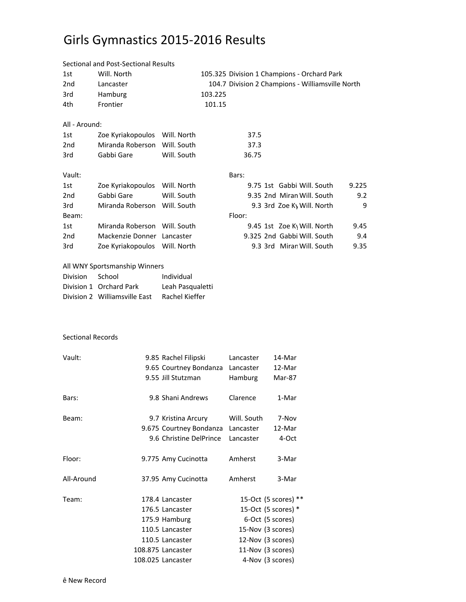# Girls Gymnastics 2015-2016 Results

|                 | Sectional and Post-Sectional Results |                  |         |        |                                                  |       |
|-----------------|--------------------------------------|------------------|---------|--------|--------------------------------------------------|-------|
| 1st             | Will. North                          |                  |         |        | 105.325 Division 1 Champions - Orchard Park      |       |
| 2 <sub>nd</sub> | Lancaster                            |                  |         |        | 104.7 Division 2 Champions - Williamsville North |       |
| 3rd             | Hamburg                              |                  | 103.225 |        |                                                  |       |
| 4th             | Frontier                             |                  | 101.15  |        |                                                  |       |
| All - Around:   |                                      |                  |         |        |                                                  |       |
| 1st             | Zoe Kyriakopoulos Will. North        |                  |         | 37.5   |                                                  |       |
| 2 <sub>nd</sub> | Miranda Roberson                     | Will. South      |         | 37.3   |                                                  |       |
| 3rd             | Gabbi Gare                           | Will. South      |         | 36.75  |                                                  |       |
| Vault:          |                                      |                  |         | Bars:  |                                                  |       |
| 1st             | Zoe Kyriakopoulos Will. North        |                  |         |        | 9.75 1st Gabbi Will. South                       | 9.225 |
| 2 <sub>nd</sub> | Gabbi Gare                           | Will. South      |         |        | 9.35 2nd Miran Will, South                       | 9.2   |
| 3rd             | Miranda Roberson Will. South         |                  |         |        | 9.3 3rd Zoe Ky Will. North                       | 9     |
| Beam:           |                                      |                  |         | Floor: |                                                  |       |
| 1st             | Miranda Roberson Will. South         |                  |         |        | 9.45 1st Zoe K\ Will. North                      | 9.45  |
| 2 <sub>nd</sub> | Mackenzie Donner Lancaster           |                  |         |        | 9.325 2nd Gabbi Will. South                      | 9.4   |
| 3rd             | Zoe Kyriakopoulos Will. North        |                  |         |        | 9.3 3rd Miran Will. South                        | 9.35  |
|                 | All WNY Sportsmanship Winners        |                  |         |        |                                                  |       |
| <b>Division</b> | School                               | Individual       |         |        |                                                  |       |
|                 | Division 1 Orchard Park              | Leah Pasqualetti |         |        |                                                  |       |
|                 | Division 2 Williamsville East        | Rachel Kieffer   |         |        |                                                  |       |

#### Sectional Records

| Vault:     | 9.85 Rachel Filipski<br>9.65 Courtney Bondanza<br>9.55 Jill Stutzman | Lancaster<br>Lancaster<br>Hamburg | 14-Mar<br>12-Mar<br>Mar-87 |
|------------|----------------------------------------------------------------------|-----------------------------------|----------------------------|
| Bars:      | 9.8 Shani Andrews                                                    | Clarence                          | 1-Mar                      |
| Beam:      | 9.7 Kristina Arcury                                                  | Will. South                       | 7-Nov                      |
|            | 9.675 Courtney Bondanza                                              | Lancaster                         | 12-Mar                     |
|            | 9.6 Christine DelPrince                                              | Lancaster                         | 4-Oct                      |
| Floor:     | 9.775 Amy Cucinotta                                                  | Amherst                           | 3-Mar                      |
| All-Around | 37.95 Amy Cucinotta                                                  | Amherst                           | 3-Mar                      |
| Team:      | 178.4 Lancaster                                                      |                                   | 15-Oct (5 scores) **       |
|            | 176.5 Lancaster                                                      |                                   | 15-Oct (5 scores) *        |
|            | 175.9 Hamburg                                                        |                                   | 6-Oct (5 scores)           |
|            | 110.5 Lancaster                                                      |                                   | 15-Nov (3 scores)          |
|            | 110.5 Lancaster                                                      |                                   | 12-Nov (3 scores)          |
|            | 108.875 Lancaster                                                    |                                   | 11-Nov (3 scores)          |
|            | 108.025 Lancaster                                                    |                                   | 4-Nov (3 scores)           |
|            |                                                                      |                                   |                            |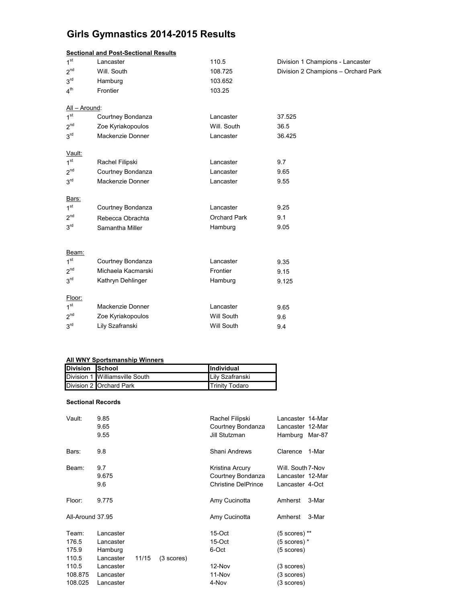### **Girls Gymnastics 2014-2015 Results**

|                 | <b>Sectional and Post-Sectional Results</b> |                     |                                     |  |  |  |  |  |  |
|-----------------|---------------------------------------------|---------------------|-------------------------------------|--|--|--|--|--|--|
| 1 <sup>st</sup> | Lancaster                                   | 110.5               | Division 1 Champions - Lancaster    |  |  |  |  |  |  |
| 2 <sup>nd</sup> | Will. South                                 | 108.725             | Division 2 Champions - Orchard Park |  |  |  |  |  |  |
| 3 <sup>rd</sup> | Hamburg                                     | 103.652             |                                     |  |  |  |  |  |  |
| 4 <sup>th</sup> | Frontier                                    | 103.25              |                                     |  |  |  |  |  |  |
| All - Around:   |                                             |                     |                                     |  |  |  |  |  |  |
| 1 <sup>st</sup> | Courtney Bondanza                           | Lancaster           | 37.525                              |  |  |  |  |  |  |
| 2 <sup>nd</sup> | Zoe Kyriakopoulos                           | Will. South         | 36.5                                |  |  |  |  |  |  |
| 3 <sup>rd</sup> | Mackenzie Donner                            | Lancaster           | 36.425                              |  |  |  |  |  |  |
| Vault:          |                                             |                     |                                     |  |  |  |  |  |  |
| 1 <sup>st</sup> | Rachel Filipski                             | Lancaster           | 9.7                                 |  |  |  |  |  |  |
| 2 <sup>nd</sup> | Courtney Bondanza                           | Lancaster           | 9.65                                |  |  |  |  |  |  |
| 3 <sup>rd</sup> | Mackenzie Donner                            | Lancaster           | 9.55                                |  |  |  |  |  |  |
| Bars:           |                                             |                     |                                     |  |  |  |  |  |  |
| 1 <sup>st</sup> | Courtney Bondanza                           | Lancaster           | 9.25                                |  |  |  |  |  |  |
| 2 <sup>nd</sup> | Rebecca Obrachta                            | <b>Orchard Park</b> | 9.1                                 |  |  |  |  |  |  |
| 3 <sup>rd</sup> | Samantha Miller                             | Hamburg             | 9.05                                |  |  |  |  |  |  |
|                 |                                             |                     |                                     |  |  |  |  |  |  |
| Beam:           |                                             |                     |                                     |  |  |  |  |  |  |
| 1 <sup>st</sup> | Courtney Bondanza                           | Lancaster           | 9.35                                |  |  |  |  |  |  |
| 2 <sup>nd</sup> | Michaela Kacmarski                          | Frontier            | 9.15                                |  |  |  |  |  |  |
| 3 <sup>rd</sup> | Kathryn Dehlinger                           | Hamburg             | 9.125                               |  |  |  |  |  |  |
| Floor:          |                                             |                     |                                     |  |  |  |  |  |  |
| 1 <sup>st</sup> | Mackenzie Donner                            | Lancaster           | 9.65                                |  |  |  |  |  |  |
| 2 <sup>nd</sup> | Zoe Kyriakopoulos                           | <b>Will South</b>   | 9.6                                 |  |  |  |  |  |  |
| 3 <sup>rd</sup> | Lily Szafranski                             | <b>Will South</b>   | 9.4                                 |  |  |  |  |  |  |
|                 |                                             |                     |                                     |  |  |  |  |  |  |

#### **All WNY Sportsmanship Winners**

| Division School |                                | <b>Individual</b>     |
|-----------------|--------------------------------|-----------------------|
|                 | Division 1 Williamsville South | Lily Szafranski       |
|                 | Division 2 Orchard Park        | <b>Trinity Todaro</b> |

#### **Sectional Records**

| Vault:                               | 9.85<br>9.65<br>9.55                             |       |                      | Rachel Filipski<br>Courtney Bondanza<br>Jill Stutzman              | Lancaster 14-Mar<br>Lancaster 12-Mar<br>Hamburg Mar-87   |       |
|--------------------------------------|--------------------------------------------------|-------|----------------------|--------------------------------------------------------------------|----------------------------------------------------------|-------|
| Bars:                                | 9.8                                              |       |                      | Shani Andrews                                                      | Clarence                                                 | 1-Mar |
| Beam:                                | 9.7<br>9.675<br>9.6                              |       |                      | Kristina Arcury<br>Courtney Bondanza<br><b>Christine DelPrince</b> | Will. South 7-Nov<br>Lancaster 12-Mar<br>Lancaster 4-Oct |       |
| Floor:                               | 9.775                                            |       |                      | Amy Cucinotta                                                      | Amherst                                                  | 3-Mar |
| All-Around 37.95                     |                                                  |       |                      | Amy Cucinotta                                                      | Amherst                                                  | 3-Mar |
| Team:<br>176.5<br>175.9              | Lancaster<br>Lancaster<br>Hamburg                |       |                      | $15$ -Oct<br>15-Oct<br>6-Oct                                       | $(5$ scores) $**$<br>$(5$ scores) $*$<br>(5 scores)      |       |
| 110.5<br>110.5<br>108.875<br>108.025 | Lancaster<br>Lancaster<br>Lancaster<br>Lancaster | 11/15 | $(3 \text{ scores})$ | 12-Nov<br>11-Nov<br>4-Nov                                          | (3 scores)<br>(3 scores)<br>(3 scores)                   |       |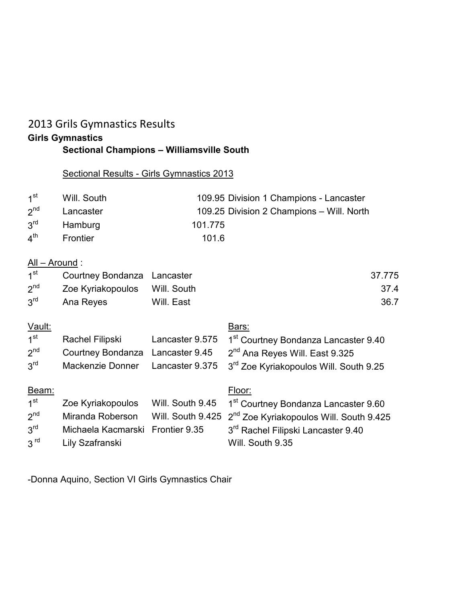### 2013 Grils Gymnastics Results **Girls Gymnastics Sectional Champions – Williamsville South**

### Sectional Results - Girls Gymnastics 2013

| 1 <sup>st</sup> | Will. South    | 109.95 Division 1 Champions - Lancaster   |
|-----------------|----------------|-------------------------------------------|
| $2^{nd}$        | Lancaster      | 109.25 Division 2 Champions - Will. North |
| 3 <sup>rd</sup> | Hamburg        | 101.775                                   |
| 4 <sup>th</sup> | Frontier       | 101.6                                     |
|                 | All – Around : |                                           |

| $1^{\rm st}$    | Courtney Bondanza Lancaster   |            | 37.775 |
|-----------------|-------------------------------|------------|--------|
| $2^{nd}$        | Zoe Kyriakopoulos Will. South |            | 37.4   |
| $3^{\text{rd}}$ | Ana Reyes                     | Will. East | 36.7   |

| Vault:          |                                  |                   | Bars:                                               |
|-----------------|----------------------------------|-------------------|-----------------------------------------------------|
| 1 <sup>st</sup> | Rachel Filipski                  | Lancaster 9.575   | 1 <sup>st</sup> Courtney Bondanza Lancaster 9.40    |
| 2 <sup>nd</sup> | <b>Courtney Bondanza</b>         | Lancaster 9.45    | 2 <sup>nd</sup> Ana Reyes Will. East 9.325          |
| 3 <sup>rd</sup> | Mackenzie Donner                 | Lancaster 9.375   | 3 <sup>rd</sup> Zoe Kyriakopoulos Will. South 9.25  |
| Beam:           |                                  |                   | Floor:                                              |
| 1 <sup>st</sup> | Zoe Kyriakopoulos                | Will. South 9.45  | 1 <sup>st</sup> Courtney Bondanza Lancaster 9.60    |
| $2^{nd}$        | Miranda Roberson                 | Will. South 9.425 | 2 <sup>nd</sup> Zoe Kyriakopoulos Will. South 9.425 |
| 3 <sup>rd</sup> | Michaela Kacmarski Frontier 9.35 |                   | 3 <sup>rd</sup> Rachel Filipski Lancaster 9.40      |
| 3 <sup>rd</sup> | Lily Szafranski                  |                   | Will. South 9.35                                    |

-Donna Aquino, Section VI Girls Gymnastics Chair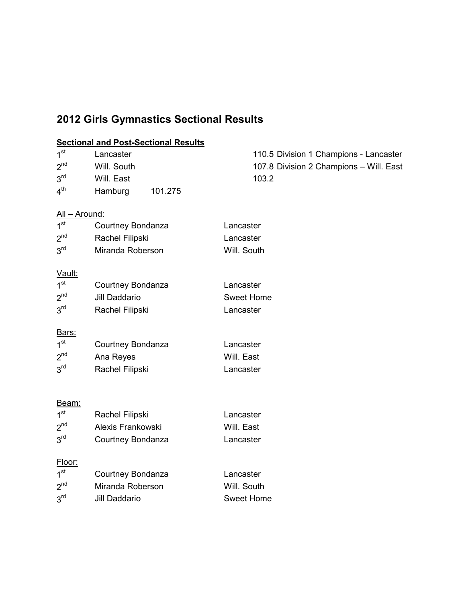## **2012 Girls Gymnastics Sectional Results**

### **Sectional and Post-Sectional Results**

| 1 <sup>st</sup>                  | Lancaster            | 110.5 Division 1 Champions - Lancaster  |
|----------------------------------|----------------------|-----------------------------------------|
| 2 <sup>nd</sup>                  | Will. South          | 107.8 Division 2 Champions - Will. East |
| 3 <sup>rd</sup>                  | Will. East           | 103.2                                   |
| 4 <sup>th</sup>                  | Hamburg<br>101.275   |                                         |
|                                  |                      |                                         |
| <u> All – Around:</u>            |                      |                                         |
| 1 <sup>st</sup>                  | Courtney Bondanza    | Lancaster                               |
| 2 <sup>nd</sup>                  | Rachel Filipski      | Lancaster                               |
| 3 <sup>rd</sup>                  | Miranda Roberson     | Will. South                             |
|                                  |                      |                                         |
| <u>Vault:</u><br>1 <sup>st</sup> |                      | Lancaster                               |
| 2 <sup>nd</sup>                  | Courtney Bondanza    |                                         |
|                                  | <b>Jill Daddario</b> | <b>Sweet Home</b>                       |
| 3 <sup>rd</sup>                  | Rachel Filipski      | Lancaster                               |
| Bars:                            |                      |                                         |
| 1 <sup>st</sup>                  | Courtney Bondanza    | Lancaster                               |
| 2 <sup>nd</sup>                  | Ana Reyes            | Will. East                              |
| 3 <sup>rd</sup>                  | Rachel Filipski      | Lancaster                               |
|                                  |                      |                                         |
|                                  |                      |                                         |
| <u>Beam:</u>                     |                      |                                         |
| 1 <sup>st</sup>                  | Rachel Filipski      | Lancaster                               |
| $2^{nd}$                         | Alexis Frankowski    | Will. East                              |
| 3 <sup>rd</sup>                  | Courtney Bondanza    | Lancaster                               |
| Floor:                           |                      |                                         |
| 1 <sup>st</sup>                  | Courtney Bondanza    | Lancaster                               |
| 2 <sup>nd</sup>                  | Miranda Roberson     | Will. South                             |
| 3 <sup>rd</sup>                  | <b>Jill Daddario</b> | <b>Sweet Home</b>                       |
|                                  |                      |                                         |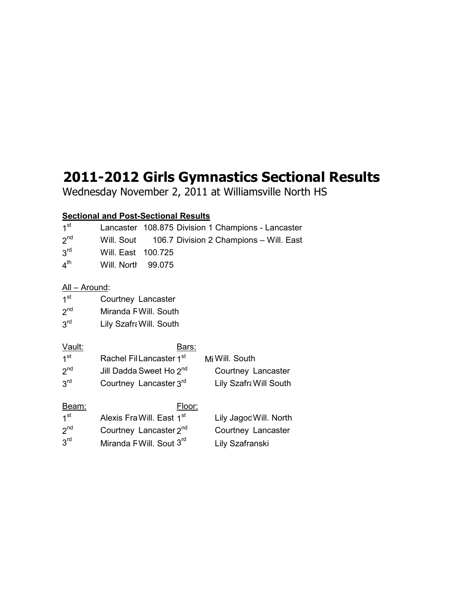# **2011-2012 Girls Gymnastics Sectional Results**

Wednesday November 2, 2011 at Williamsville North HS

### **Sectional and Post-Sectional Results**

| 1 <sup>st</sup>       | Lancaster                             |         |               | 108.875 Division 1 Champions - Lancaster |  |
|-----------------------|---------------------------------------|---------|---------------|------------------------------------------|--|
| 2 <sup>nd</sup>       | Will. Sout                            |         |               | 106.7 Division 2 Champions - Will. East  |  |
| $3^{\text{rd}}$       | Will. East                            | 100.725 |               |                                          |  |
| 4 <sup>th</sup>       | Will. North                           | 99.075  |               |                                          |  |
| <u> All – Around:</u> |                                       |         |               |                                          |  |
| 1 <sup>st</sup>       | Courtney Lancaster                    |         |               |                                          |  |
| $2^{nd}$              | Miranda F Will. South                 |         |               |                                          |  |
| 3 <sup>rd</sup>       | Lily Szafra Will. South               |         |               |                                          |  |
| <u>Vault:</u>         |                                       |         | Bars:         |                                          |  |
| 1 <sup>st</sup>       | Rachel FilLancaster 1 <sup>st</sup>   |         |               | Mi Will. South                           |  |
| 2 <sup>nd</sup>       | Jill Dadda Sweet Ho 2 <sup>nd</sup>   |         |               | Courtney Lancaster                       |  |
| 3 <sup>rd</sup>       | Courtney Lancaster 3rd                |         |               | Lily Szafra Will South                   |  |
| Beam:                 |                                       |         | <u>Floor:</u> |                                          |  |
| 1 <sup>st</sup>       | Alexis Fra Will. East 1 <sup>st</sup> |         |               | Lily Jagoc Will. North                   |  |
| 2 <sup>nd</sup>       | Courtney Lancaster 2 <sup>nd</sup>    |         |               | Courtney Lancaster                       |  |
| 3 <sup>rd</sup>       | Miranda FWill. Sout 3 <sup>rd</sup>   |         |               | Lily Szafranski                          |  |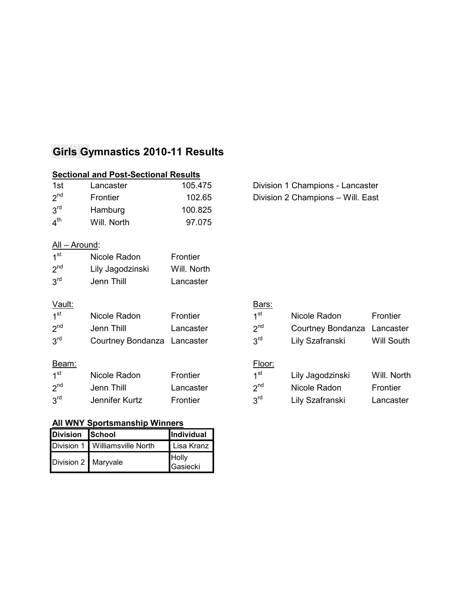## **Girls Gymnastics 2010-11 Results**

|                       | <b>Sectional and Post-Sectional Results</b> |             |                 |                                   |                   |
|-----------------------|---------------------------------------------|-------------|-----------------|-----------------------------------|-------------------|
| 1st                   | Lancaster                                   | 105.475     |                 | Division 1 Champions - Lancaster  |                   |
| 2 <sup>nd</sup>       | Frontier                                    | 102.65      |                 | Division 2 Champions - Will. East |                   |
| 3 <sup>rd</sup>       | Hamburg                                     | 100.825     |                 |                                   |                   |
| 4 <sup>th</sup>       | Will. North                                 | 97.075      |                 |                                   |                   |
| <u> All – Around:</u> |                                             |             |                 |                                   |                   |
| 1 <sup>st</sup>       | Nicole Radon                                | Frontier    |                 |                                   |                   |
| 2 <sup>nd</sup>       | Lily Jagodzinski                            | Will. North |                 |                                   |                   |
| 3 <sup>rd</sup>       | Jenn Thill                                  | Lancaster   |                 |                                   |                   |
| Vault:                |                                             |             | <u>Bars:</u>    |                                   |                   |
| 1 <sup>st</sup>       | Nicole Radon                                | Frontier    | 1 <sup>st</sup> | Nicole Radon                      | <b>Frontier</b>   |
| 2 <sup>nd</sup>       | Jenn Thill                                  | Lancaster   | $2^{nd}$        | Courtney Bondanza Lancaster       |                   |
| 3 <sup>rd</sup>       | Courtney Bondanza Lancaster                 |             | 3 <sup>rd</sup> | Lily Szafranski                   | <b>Will South</b> |
| Beam:                 |                                             |             | Floor:          |                                   |                   |
| 1 <sup>st</sup>       | Nicole Radon                                | Frontier    | 1 <sup>st</sup> | Lily Jagodzinski                  | Will. North       |
| 2 <sup>nd</sup>       | Jenn Thill                                  | Lancaster   | $2^{nd}$        | Nicole Radon                      | <b>Frontier</b>   |
| 3 <sup>rd</sup>       | Jennifer Kurtz                              | Frontier    | 3 <sup>rd</sup> | Lily Szafranski                   | Lancaster         |

### **All WNY Sportsmanship Winners**

| Division School       |                                  | Individual        |
|-----------------------|----------------------------------|-------------------|
|                       | Division 1   Williamsville North | Lisa Kranz        |
| Division 2   Maryvale |                                  | Holly<br>Gasiecki |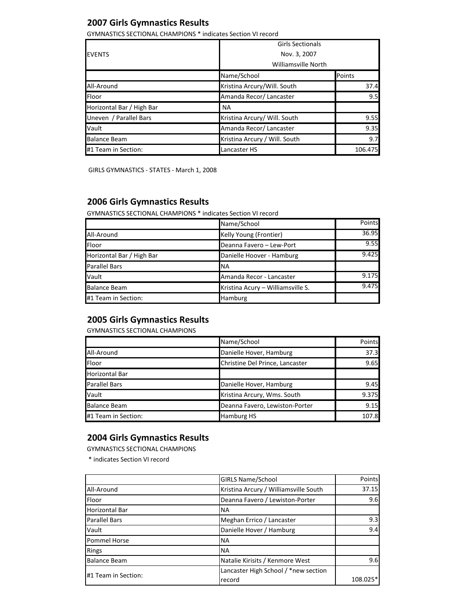### **2007 Girls Gymnastics Results**

GYMNASTICS SECTIONAL CHAMPIONS \* indicates Section VI record

| <b>Girls Sectionals</b>   |                               |                     |  |
|---------------------------|-------------------------------|---------------------|--|
| <b>EVENTS</b>             | Nov. 3, 2007                  |                     |  |
|                           |                               | Williamsville North |  |
|                           | Name/School                   | Points              |  |
| All-Around                | Kristina Arcury/Will. South   | 37.4                |  |
| <b>Floor</b>              | Amanda Recor/ Lancaster       | 9.5                 |  |
| Horizontal Bar / High Bar | <b>NA</b>                     |                     |  |
| Uneven / Parallel Bars    | Kristina Arcury/ Will. South  | 9.55                |  |
| Vault                     | Amanda Recor/ Lancaster       | 9.35                |  |
| <b>Balance Beam</b>       | Kristina Arcury / Will. South | 9.7                 |  |
| #1 Team in Section:       | Lancaster HS                  | 106.475             |  |

GIRLS GYMNASTICS - STATES - March 1, 2008

### **2006 Girls Gymnastics Results**

GYMNASTICS SECTIONAL CHAMPIONS \* indicates Section VI record

|                           | Name/School                       | Points |
|---------------------------|-----------------------------------|--------|
| All-Around                | Kelly Young (Frontier)            | 36.95  |
| Floor                     | Deanna Favero - Lew-Port          | 9.55   |
| Horizontal Bar / High Bar | Danielle Hoover - Hamburg         | 9.425  |
| <b>Parallel Bars</b>      | <b>NA</b>                         |        |
| Vault                     | Amanda Recor - Lancaster          | 9.175  |
| <b>Balance Beam</b>       | Kristina Acury - Williamsville S. | 9.475  |
| #1 Team in Section:       | Hamburg                           |        |

### **2005 Girls Gymnastics Results**

GYMNASTICS SECTIONAL CHAMPIONS

|                       | Name/School                     | Points |
|-----------------------|---------------------------------|--------|
| All-Around            | Danielle Hover, Hamburg         | 37.3   |
| Floor                 | Christine Del Prince, Lancaster | 9.65   |
| <b>Horizontal Bar</b> |                                 |        |
| <b>Parallel Bars</b>  | Danielle Hover, Hamburg         | 9.45   |
| Vault                 | Kristina Arcury, Wms. South     | 9.375  |
| <b>Balance Beam</b>   | Deanna Favero, Lewiston-Porter  | 9.15   |
| #1 Team in Section:   | <b>Hamburg HS</b>               | 107.8  |

### **2004 Girls Gymnastics Results**

GYMNASTICS SECTIONAL CHAMPIONS

\* indicates Section VI record

|                       | <b>GIRLS Name/School</b>              | Points   |
|-----------------------|---------------------------------------|----------|
| All-Around            | Kristina Arcury / Williamsville South | 37.15    |
| Floor                 | Deanna Favero / Lewiston-Porter       | 9.6      |
| <b>Horizontal Bar</b> | <b>NA</b>                             |          |
| <b>Parallel Bars</b>  | Meghan Errico / Lancaster             | 9.3      |
| Vault                 | Danielle Hover / Hamburg              | 9.4      |
| <b>Pommel Horse</b>   | <b>NA</b>                             |          |
| <b>Rings</b>          | <b>NA</b>                             |          |
| <b>Balance Beam</b>   | Natalie Kirisits / Kenmore West       | 9.6      |
| #1 Team in Section:   | Lancaster High School / *new section  |          |
|                       | record                                | 108.025* |